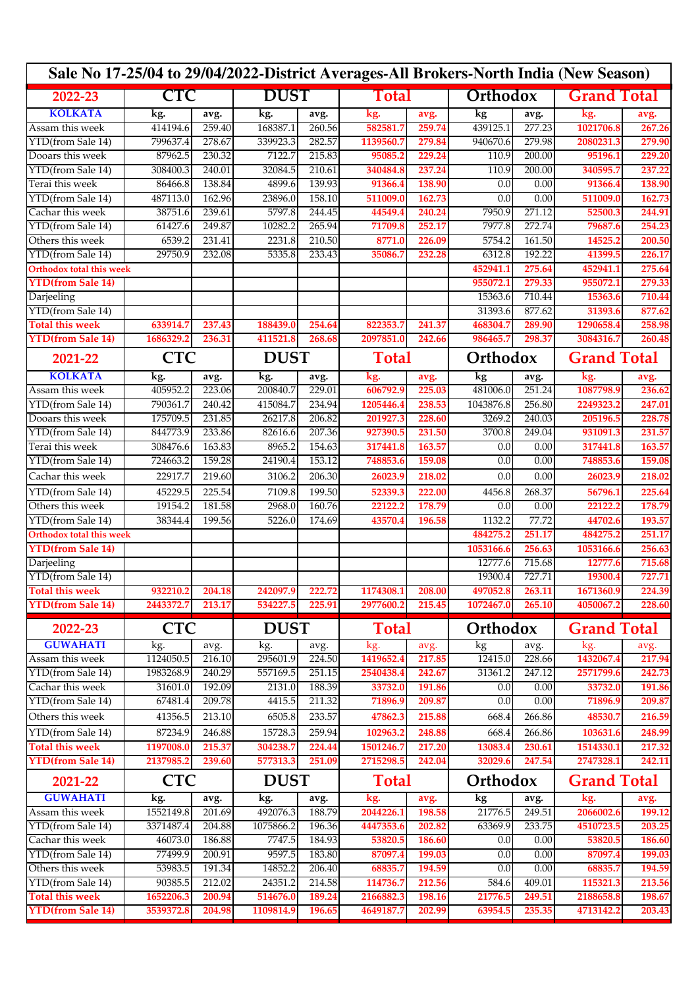| Sale No 17-25/04 to 29/04/2022-District Averages-All Brokers-North India (New Season) |            |            |             |             |              |              |           |               |                    |                    |  |
|---------------------------------------------------------------------------------------|------------|------------|-------------|-------------|--------------|--------------|-----------|---------------|--------------------|--------------------|--|
| 2022-23                                                                               | <b>CTC</b> |            |             | <b>DUST</b> |              | Total        |           | Orthodox      |                    | <b>Grand Total</b> |  |
| <b>KOLKATA</b>                                                                        | kg.        | avg.       | kg.         | avg.        | kg.          | avg.         | kg        | avg.          | kg.                | avg.               |  |
| Assam this week                                                                       | 414194.6   | 259.40     | 168387.1    | 260.56      | 582581.7     | 259.74       | 439125.1  | 277.23        | 1021706.8          | 267.26             |  |
| YTD(from Sale 14)                                                                     | 799637.4   | 278.67     | 339923.3    | 282.57      | 1139560.7    | 279.84       | 940670.6  | 279.98        | 2080231.3          | 279.90             |  |
| Dooars this week                                                                      | 87962.5    | 230.32     | 7122.7      | 215.83      | 95085.2      | 229.24       | 110.9     | 200.00        | 95196.1            | 229.20             |  |
| YTD(from Sale 14)                                                                     | 308400.3   | 240.01     | 32084.5     | 210.61      | 340484.8     | 237.24       | 110.9     | 200.00        | 340595.7           | 237.22             |  |
| Terai this week                                                                       | 86466.8    | 138.84     | 4899.6      | 139.93      | 91366.4      | 138.90       | 0.0       | 0.00          | 91366.4            | 138.90             |  |
| YTD(from Sale 14)                                                                     | 487113.0   | 162.96     | 23896.0     | 158.10      | 511009.0     | 162.73       | 0.0       | 0.00          | 511009.0           | 162.73             |  |
| Cachar this week                                                                      | 38751.6    | 239.61     | 5797.8      | 244.45      | 44549.4      | 240.24       | 7950.9    | 271.12        | 52500.3            | 244.91             |  |
| YTD(from Sale 14)                                                                     | 61427.6    | 249.87     | 10282.2     | 265.94      | 71709.8      | 252.17       | 7977.8    | 272.74        | 79687.6            | 254.23             |  |
| Others this week                                                                      | 6539.2     | 231.41     | 2231.8      | 210.50      | 8771.0       | 226.09       | 5754.2    | 161.50        | 14525.2            | 200.50             |  |
| YTD(from Sale 14)                                                                     | 29750.9    | 232.08     | 5335.8      | 233.43      | 35086.7      | 232.28       | 6312.8    | 192.22        | 41399.5            | 226.17             |  |
| <b>Orthodox total this week</b>                                                       |            |            |             |             |              |              | 452941.1  | 275.64        | 452941.1           | 275.64             |  |
| <b>YTD(from Sale 14)</b>                                                              |            |            |             |             |              |              | 955072.1  | 279.33        | 955072.1           | 279.33             |  |
| Darjeeling                                                                            |            |            |             |             |              |              | 15363.6   | 710.44        | 15363.6            | 710.44             |  |
| YTD(from Sale 14)                                                                     |            |            |             |             |              |              | 31393.6   | 877.62        | 31393.6            | 877.62             |  |
| <b>Total this week</b>                                                                | 633914.7   | 237.43     | 188439.0    | 254.64      | 822353.7     | 241.37       | 468304.7  | 289.90        | 1290658.4          | 258.98             |  |
| <b>YTD(from Sale 14)</b>                                                              | 1686329.2  | 236.31     | 411521.8    | 268.68      | 2097851.0    | 242.66       | 986465.7  | 298.37        | 3084316.7          | 260.48             |  |
| 2021-22                                                                               | <b>CTC</b> |            | <b>DUST</b> |             | <b>Total</b> |              | Orthodox  |               | <b>Grand Total</b> |                    |  |
| <b>KOLKATA</b>                                                                        | kg.        | avg.       | kg.         | avg.        | kg.          | avg.         | kg        | avg.          | kg.                | avg.               |  |
| Assam this week                                                                       | 405952.2   | 223.06     | 200840.7    | 229.01      | 606792.9     | 225.03       | 481006.0  | 251.24        | 1087798.9          | 236.62             |  |
| YTD(from Sale 14)                                                                     | 790361.7   | 240.42     | 415084.7    | 234.94      | 1205446.4    | 238.53       | 1043876.8 | 256.80        | 2249323.2          | 247.01             |  |
| Dooars this week                                                                      | 175709.5   | 231.85     | 26217.8     | 206.82      | 201927.3     | 228.60       | 3269.2    | 240.03        | 205196.5           | 228.78             |  |
| YTD(from Sale 14)                                                                     | 844773.9   | 233.86     | 82616.6     | 207.36      | 927390.5     | 231.50       | 3700.8    | 249.04        | 931091.3           | 231.57             |  |
| Terai this week                                                                       | 308476.6   | 163.83     | 8965.2      | 154.63      | 317441.8     | 163.57       | 0.0       | 0.00          | 317441.8           | 163.57             |  |
| YTD(from Sale 14)                                                                     | 724663.2   | 159.28     | 24190.4     | 153.12      | 748853.6     | 159.08       | 0.0       | 0.00          | 748853.6           | 159.08             |  |
| Cachar this week                                                                      | 22917.7    | 219.60     | 3106.2      | 206.30      | 26023.9      | 218.02       | 0.0       | 0.00          | 26023.9            | 218.02             |  |
| YTD(from Sale 14)                                                                     | 45229.5    | 225.54     | 7109.8      | 199.50      | 52339.3      | 222.00       | 4456.8    | 268.37        | 56796.1            | 225.64             |  |
| Others this week                                                                      | 19154.2    | 181.58     | 2968.0      | 160.76      | 22122.2      | 178.79       | 0.0       | 0.00          | 22122.2            | 178.79             |  |
| YTD(from Sale 14)                                                                     | 38344.4    | 199.56     | 5226.0      | 174.69      | 43570.4      | 196.58       | 1132.2    | 77.72         | 44702.6            | 193.57             |  |
| <b>Orthodox total this week</b>                                                       |            |            |             |             |              |              | 484275.2  | 251.17        | 484275.2           | 251.17             |  |
| <b>YTD(from Sale 14)</b>                                                              |            |            |             |             |              |              | 1053166.6 | 256.63        | 1053166.6          | 256.63             |  |
| Darjeeling                                                                            |            |            |             |             |              |              | 12777.6   | 715.68        | 12777.6            | 715.68             |  |
| YTD(from Sale 14)                                                                     |            |            |             |             |              |              | 19300.4   | 727.71        | 19300.4            | 727.71             |  |
| Total this week                                                                       | 932210.2   | 204.18     | 242097.9    | 222.72      | 1174308.1    | 208.00       | 497052.8  | <b>263.11</b> | 1671360.9          | 224.39             |  |
| <b>YTD(from Sale 14)</b>                                                              | 2443372.7  | 213.17     | 534227.5    | 225.91      | 2977600.2    | 215.45       | 1072467.0 | 265.10        | 4050067.2          | 228.60             |  |
| 2022-23                                                                               | <b>CTC</b> |            | <b>DUST</b> |             | <b>Total</b> |              | Orthodox  |               | <b>Grand Total</b> |                    |  |
| <b>GUWAHATI</b>                                                                       | kg.        | avg.       | kg.         | avg.        | kg.          | avg.         | kg        | avg.          | kg.                | avg.               |  |
| Assam this week                                                                       | 1124050.5  | 216.10     | 295601.9    | 224.50      | 1419652.4    | 217.85       | 12415.0   | 228.66        | 1432067.4          | 217.94             |  |
| YTD(from Sale 14)                                                                     | 1983268.9  | 240.29     | 557169.5    | 251.15      | 2540438.4    | 242.67       | 31361.2   | 247.12        | 2571799.6          | 242.73             |  |
| Cachar this week                                                                      | 31601.0    | 192.09     | 2131.0      | 188.39      | 33732.0      | 191.86       | 0.0       | 0.00          | 33732.0            | 191.86             |  |
| YTD(from Sale 14)                                                                     | 67481.4    | 209.78     | 4415.5      | 211.32      | 71896.9      | 209.87       | 0.0       | 0.00          | 71896.9            | 209.87             |  |
| Others this week                                                                      | 41356.5    | 213.10     | 6505.8      | 233.57      | 47862.3      | 215.88       | 668.4     | 266.86        | 48530.7            | 216.59             |  |
| YTD(from Sale 14)                                                                     | 87234.9    | 246.88     | 15728.3     | 259.94      | 102963.2     | 248.88       | 668.4     | 266.86        | 103631.6           | 248.99             |  |
| <b>Total this week</b>                                                                | 1197008.0  | 215.37     | 304238.7    | 224.44      | 1501246.7    | 217.20       | 13083.4   | 230.61        | 1514330.1          | 217.32             |  |
| <b>YTD(from Sale 14)</b>                                                              | 2137985.2  | 239.60     | 577313.3    | 251.09      | 2715298.5    | 242.04       | 32029.6   | 247.54        | 2747328.1          | 242.11             |  |
| 2021-22                                                                               |            | <b>CTC</b> |             | <b>DUST</b> |              | <b>Total</b> |           | Orthodox      |                    | <b>Grand Total</b> |  |
| <b>GUWAHATI</b>                                                                       | kg.        | avg.       | kg.         | avg.        | kg.          | avg.         | kg        | avg.          | kg.                | avg.               |  |
| Assam this week                                                                       | 1552149.8  | 201.69     | 492076.3    | 188.79      | 2044226.1    | 198.58       | 21776.5   | 249.51        | 2066002.6          | 199.12             |  |
| YTD(from Sale 14)                                                                     | 3371487.4  | 204.88     | 1075866.2   | 196.36      | 4447353.6    | 202.82       | 63369.9   | 233.75        | 4510723.5          | 203.25             |  |
| Cachar this week                                                                      | 46073.0    | 186.88     | 7747.5      | 184.93      | 53820.5      | 186.60       | 0.0       | 0.00          | 53820.5            | 186.60             |  |
| YTD(from Sale 14)                                                                     | 77499.9    | 200.91     | 9597.5      | 183.80      | 87097.4      | 199.03       | 0.0       | 0.00          | 87097.4            | 199.03             |  |
| Others this week                                                                      | 53983.5    | 191.34     | 14852.2     | 206.40      | 68835.7      | 194.59       | 0.0       | 0.00          | 68835.7            | 194.59             |  |
| YTD(from Sale 14)                                                                     | 90385.5    | 212.02     | 24351.2     | 214.58      | 114736.7     | 212.56       | 584.6     | 409.01        | 115321.3           | 213.56             |  |
| <b>Total this week</b>                                                                | 1652206.3  | 200.94     | 514676.0    | 189.24      | 2166882.3    | 198.16       | 21776.5   | 249.51        | 2188658.8          | 198.67             |  |
| <b>YTD</b> (from Sale 14)                                                             | 3539372.8  | 204.98     | 1109814.9   | 196.65      | 4649187.7    | 202.99       | 63954.5   | 235.35        | 4713142.2          | 203.43             |  |